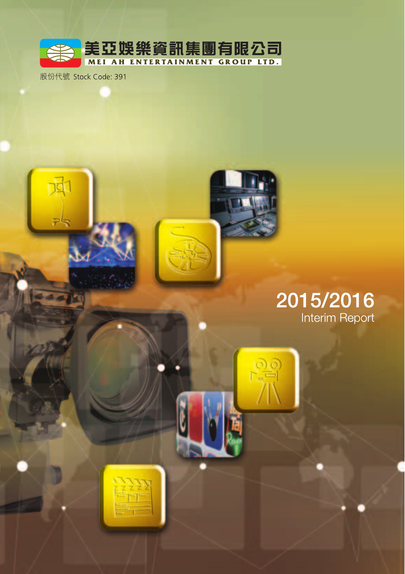

股份代號 Stock Code: 391

# 2015/2016 Interim Report

 $P_{n-1}^{(0)}$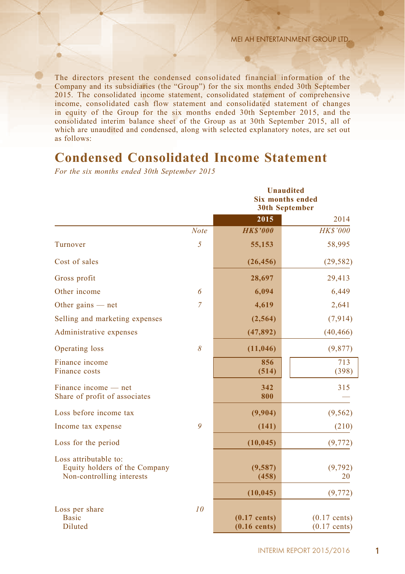The directors present the condensed consolidated financial information of the Company and its subsidiaries (the "Group") for the six months ended 30th September 2015. The consolidated income statement, consolidated statement of comprehensive income, consolidated cash flow statement and consolidated statement of changes in equity of the Group for the six months ended 30th September 2015, and the consolidated interim balance sheet of the Group as at 30th September 2015, all of which are unaudited and condensed, along with selected explanatory notes, are set out as follows:

# **Condensed Consolidated Income Statement**

*For the six months ended 30th September 2015*

|                                                                                     |                | <b>Unaudited</b><br><b>Six months ended</b><br><b>30th September</b> |                                  |  |  |  |
|-------------------------------------------------------------------------------------|----------------|----------------------------------------------------------------------|----------------------------------|--|--|--|
|                                                                                     |                | 2015                                                                 | 2014                             |  |  |  |
|                                                                                     | <b>Note</b>    | <b>HKS'000</b>                                                       | <b>HK\$'000</b>                  |  |  |  |
| Turnover                                                                            | 5              | 55,153                                                               | 58,995                           |  |  |  |
| Cost of sales                                                                       |                | (26, 456)                                                            | (29, 582)                        |  |  |  |
| Gross profit                                                                        |                | 28,697                                                               | 29,413                           |  |  |  |
| Other income                                                                        | 6              | 6,094                                                                | 6,449                            |  |  |  |
| Other gains $-$ net                                                                 | $\overline{7}$ | 4,619                                                                | 2,641                            |  |  |  |
| Selling and marketing expenses                                                      |                | (2, 564)                                                             | (7, 914)                         |  |  |  |
| Administrative expenses                                                             |                | (47, 892)                                                            | (40, 466)                        |  |  |  |
| Operating loss                                                                      | 8              | (11, 046)                                                            | (9, 877)                         |  |  |  |
| Finance income<br>Finance costs                                                     |                | 856<br>(514)                                                         | 713<br>(398)                     |  |  |  |
| Finance income — net<br>Share of profit of associates                               |                | 342<br>800                                                           | 315                              |  |  |  |
| Loss before income tax                                                              |                | (9,904)                                                              | (9, 562)                         |  |  |  |
| Income tax expense                                                                  | 9              | (141)                                                                | (210)                            |  |  |  |
| Loss for the period                                                                 |                | (10, 045)                                                            | (9, 772)                         |  |  |  |
| Loss attributable to:<br>Equity holders of the Company<br>Non-controlling interests |                | (9,587)<br>(458)                                                     | (9, 792)<br>20                   |  |  |  |
|                                                                                     |                | (10, 045)                                                            | (9, 772)                         |  |  |  |
| Loss per share<br><b>Basic</b><br>Diluted                                           | 10             | $(0.17$ cents)<br>$(0.16$ cents)                                     | $(0.17$ cents)<br>$(0.17$ cents) |  |  |  |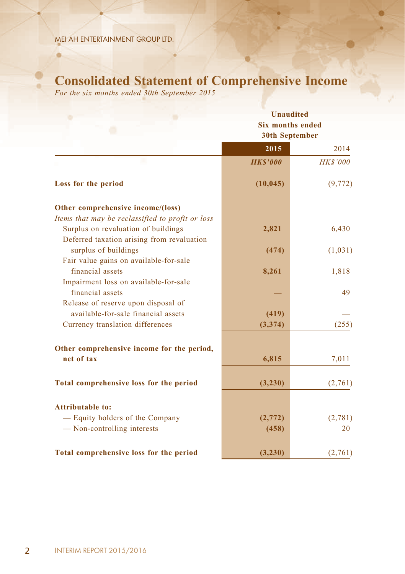۵

# **Consolidated Statement of Comprehensive Income**

*For the six months ended 30th September 2015*

|                                                  | Unaudited                                        |                 |  |  |  |  |
|--------------------------------------------------|--------------------------------------------------|-----------------|--|--|--|--|
|                                                  | <b>Six months ended</b><br><b>30th September</b> |                 |  |  |  |  |
|                                                  |                                                  |                 |  |  |  |  |
|                                                  | 2015                                             | 2014            |  |  |  |  |
| ш                                                | <b>HKS'000</b>                                   | <b>HK\$'000</b> |  |  |  |  |
| Loss for the period                              | (10, 045)                                        | (9, 772)        |  |  |  |  |
| Other comprehensive income/(loss)                |                                                  |                 |  |  |  |  |
| Items that may be reclassified to profit or loss |                                                  |                 |  |  |  |  |
| Surplus on revaluation of buildings              | 2,821                                            | 6,430           |  |  |  |  |
| Deferred taxation arising from revaluation       |                                                  |                 |  |  |  |  |
| surplus of buildings                             | (474)                                            | (1,031)         |  |  |  |  |
| Fair value gains on available-for-sale           |                                                  |                 |  |  |  |  |
| financial assets                                 | 8,261                                            | 1,818           |  |  |  |  |
| Impairment loss on available-for-sale            |                                                  |                 |  |  |  |  |
| financial assets                                 |                                                  | 49              |  |  |  |  |
| Release of reserve upon disposal of              |                                                  |                 |  |  |  |  |
| available-for-sale financial assets              | (419)                                            |                 |  |  |  |  |
| Currency translation differences                 | (3,374)                                          | (255)           |  |  |  |  |
|                                                  |                                                  |                 |  |  |  |  |
| Other comprehensive income for the period,       |                                                  |                 |  |  |  |  |
| net of tax                                       | 6,815                                            | 7,011           |  |  |  |  |
|                                                  |                                                  |                 |  |  |  |  |
| Total comprehensive loss for the period          | (3,230)                                          | (2,761)         |  |  |  |  |
| <b>Attributable to:</b>                          |                                                  |                 |  |  |  |  |
| - Equity holders of the Company                  | (2,772)                                          | (2,781)         |  |  |  |  |
| - Non-controlling interests                      | (458)                                            | 20              |  |  |  |  |
|                                                  |                                                  |                 |  |  |  |  |
| Total comprehensive loss for the period          | (3,230)                                          | (2,761)         |  |  |  |  |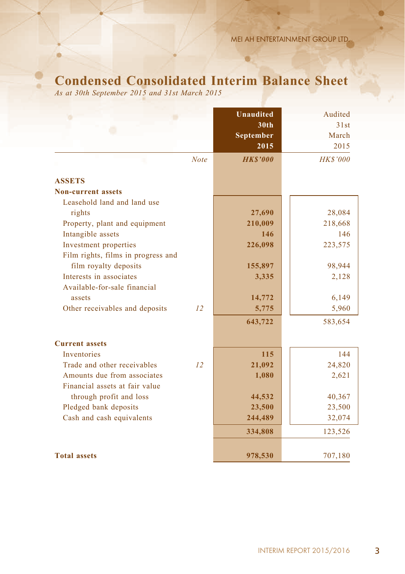# **Condensed Consolidated Interim Balance Sheet**

*As at 30th September 2015 and 31st March 2015*

|                                    |             | <b>Unaudited</b> | Audited         |
|------------------------------------|-------------|------------------|-----------------|
|                                    |             | 30 <sub>th</sub> | 31st            |
|                                    |             | September        | March           |
|                                    |             | 2015             | 2015            |
|                                    | <b>Note</b> | <b>HKS'000</b>   | <b>HK\$'000</b> |
| <b>ASSETS</b>                      |             |                  |                 |
| <b>Non-current assets</b>          |             |                  |                 |
| Leasehold land and land use        |             |                  |                 |
| rights                             |             | 27,690           | 28,084          |
| Property, plant and equipment      |             | 210,009          | 218,668         |
| Intangible assets                  |             | 146              | 146             |
| Investment properties              |             | 226,098          | 223,575         |
| Film rights, films in progress and |             |                  |                 |
| film royalty deposits              |             | 155,897          | 98,944          |
| Interests in associates            |             | 3,335            | 2,128           |
| Available-for-sale financial       |             |                  |                 |
| assets                             |             | 14,772           | 6,149           |
| Other receivables and deposits     | 12          | 5,775            | 5,960           |
|                                    |             | 643,722          | 583,654         |
| <b>Current assets</b>              |             |                  |                 |
| <b>Inventories</b>                 |             | 115              | 144             |
| Trade and other receivables        | 12          | 21,092           | 24,820          |
| Amounts due from associates        |             | 1,080            | 2,621           |
| Financial assets at fair value     |             |                  |                 |
| through profit and loss            |             | 44,532           | 40,367          |
| Pledged bank deposits              |             | 23,500           | 23,500          |
| Cash and cash equivalents          |             | 244,489          | 32,074          |
|                                    |             | 334,808          | 123,526         |
| <b>Total assets</b>                |             | 978,530          | 707,180         |
|                                    |             |                  |                 |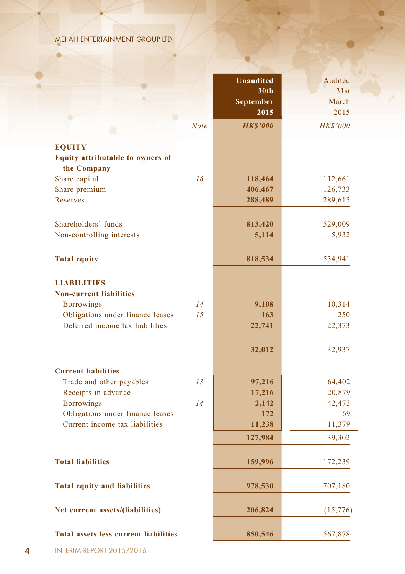ö

| <b>Unaudited</b><br>30th<br>September<br>2015<br><b>HKS'000</b><br><b>Note</b><br><b>EQUITY</b><br><b>Equity attributable to owners of</b><br>the Company<br>16<br>Share capital<br>118,464<br>Share premium<br>406,467<br>Reserves<br>288,489<br>Shareholders' funds<br>813,420<br>529,009<br>Non-controlling interests<br>5,114<br><b>Total equity</b><br>818,534<br><b>LIABILITIES</b><br><b>Non-current liabilities</b><br><b>Borrowings</b><br>14<br>9,108<br>Obligations under finance leases<br>15<br>163<br>Deferred income tax liabilities<br>22,741<br>32,012<br><b>Current liabilities</b><br>Trade and other payables<br>13<br>97,216<br>Receipts in advance<br>17,216<br>14<br><b>Borrowings</b><br>2,142<br>Obligations under finance leases<br>172<br>Current income tax liabilities<br>11,238<br>127,984<br><b>Total liabilities</b><br>159,996<br><b>Total equity and liabilities</b><br>978,530<br>Net current assets/(liabilities)<br>206,824 |  |                 |
|------------------------------------------------------------------------------------------------------------------------------------------------------------------------------------------------------------------------------------------------------------------------------------------------------------------------------------------------------------------------------------------------------------------------------------------------------------------------------------------------------------------------------------------------------------------------------------------------------------------------------------------------------------------------------------------------------------------------------------------------------------------------------------------------------------------------------------------------------------------------------------------------------------------------------------------------------------------|--|-----------------|
|                                                                                                                                                                                                                                                                                                                                                                                                                                                                                                                                                                                                                                                                                                                                                                                                                                                                                                                                                                  |  | Audited         |
|                                                                                                                                                                                                                                                                                                                                                                                                                                                                                                                                                                                                                                                                                                                                                                                                                                                                                                                                                                  |  | 31st            |
|                                                                                                                                                                                                                                                                                                                                                                                                                                                                                                                                                                                                                                                                                                                                                                                                                                                                                                                                                                  |  | March           |
|                                                                                                                                                                                                                                                                                                                                                                                                                                                                                                                                                                                                                                                                                                                                                                                                                                                                                                                                                                  |  | 2015            |
|                                                                                                                                                                                                                                                                                                                                                                                                                                                                                                                                                                                                                                                                                                                                                                                                                                                                                                                                                                  |  |                 |
|                                                                                                                                                                                                                                                                                                                                                                                                                                                                                                                                                                                                                                                                                                                                                                                                                                                                                                                                                                  |  | <b>HK\$'000</b> |
|                                                                                                                                                                                                                                                                                                                                                                                                                                                                                                                                                                                                                                                                                                                                                                                                                                                                                                                                                                  |  |                 |
|                                                                                                                                                                                                                                                                                                                                                                                                                                                                                                                                                                                                                                                                                                                                                                                                                                                                                                                                                                  |  |                 |
|                                                                                                                                                                                                                                                                                                                                                                                                                                                                                                                                                                                                                                                                                                                                                                                                                                                                                                                                                                  |  |                 |
|                                                                                                                                                                                                                                                                                                                                                                                                                                                                                                                                                                                                                                                                                                                                                                                                                                                                                                                                                                  |  | 112,661         |
|                                                                                                                                                                                                                                                                                                                                                                                                                                                                                                                                                                                                                                                                                                                                                                                                                                                                                                                                                                  |  | 126,733         |
|                                                                                                                                                                                                                                                                                                                                                                                                                                                                                                                                                                                                                                                                                                                                                                                                                                                                                                                                                                  |  |                 |
|                                                                                                                                                                                                                                                                                                                                                                                                                                                                                                                                                                                                                                                                                                                                                                                                                                                                                                                                                                  |  | 289,615         |
|                                                                                                                                                                                                                                                                                                                                                                                                                                                                                                                                                                                                                                                                                                                                                                                                                                                                                                                                                                  |  |                 |
|                                                                                                                                                                                                                                                                                                                                                                                                                                                                                                                                                                                                                                                                                                                                                                                                                                                                                                                                                                  |  |                 |
|                                                                                                                                                                                                                                                                                                                                                                                                                                                                                                                                                                                                                                                                                                                                                                                                                                                                                                                                                                  |  | 5,932           |
|                                                                                                                                                                                                                                                                                                                                                                                                                                                                                                                                                                                                                                                                                                                                                                                                                                                                                                                                                                  |  | 534,941         |
|                                                                                                                                                                                                                                                                                                                                                                                                                                                                                                                                                                                                                                                                                                                                                                                                                                                                                                                                                                  |  |                 |
|                                                                                                                                                                                                                                                                                                                                                                                                                                                                                                                                                                                                                                                                                                                                                                                                                                                                                                                                                                  |  |                 |
|                                                                                                                                                                                                                                                                                                                                                                                                                                                                                                                                                                                                                                                                                                                                                                                                                                                                                                                                                                  |  | 10,314          |
|                                                                                                                                                                                                                                                                                                                                                                                                                                                                                                                                                                                                                                                                                                                                                                                                                                                                                                                                                                  |  | 250             |
|                                                                                                                                                                                                                                                                                                                                                                                                                                                                                                                                                                                                                                                                                                                                                                                                                                                                                                                                                                  |  | 22,373          |
|                                                                                                                                                                                                                                                                                                                                                                                                                                                                                                                                                                                                                                                                                                                                                                                                                                                                                                                                                                  |  |                 |
|                                                                                                                                                                                                                                                                                                                                                                                                                                                                                                                                                                                                                                                                                                                                                                                                                                                                                                                                                                  |  | 32,937          |
|                                                                                                                                                                                                                                                                                                                                                                                                                                                                                                                                                                                                                                                                                                                                                                                                                                                                                                                                                                  |  |                 |
|                                                                                                                                                                                                                                                                                                                                                                                                                                                                                                                                                                                                                                                                                                                                                                                                                                                                                                                                                                  |  | 64,402          |
|                                                                                                                                                                                                                                                                                                                                                                                                                                                                                                                                                                                                                                                                                                                                                                                                                                                                                                                                                                  |  | 20,879          |
|                                                                                                                                                                                                                                                                                                                                                                                                                                                                                                                                                                                                                                                                                                                                                                                                                                                                                                                                                                  |  | 42,473          |
|                                                                                                                                                                                                                                                                                                                                                                                                                                                                                                                                                                                                                                                                                                                                                                                                                                                                                                                                                                  |  | 169             |
|                                                                                                                                                                                                                                                                                                                                                                                                                                                                                                                                                                                                                                                                                                                                                                                                                                                                                                                                                                  |  | 11,379          |
|                                                                                                                                                                                                                                                                                                                                                                                                                                                                                                                                                                                                                                                                                                                                                                                                                                                                                                                                                                  |  | 139,302         |
|                                                                                                                                                                                                                                                                                                                                                                                                                                                                                                                                                                                                                                                                                                                                                                                                                                                                                                                                                                  |  |                 |
|                                                                                                                                                                                                                                                                                                                                                                                                                                                                                                                                                                                                                                                                                                                                                                                                                                                                                                                                                                  |  | 172,239         |
|                                                                                                                                                                                                                                                                                                                                                                                                                                                                                                                                                                                                                                                                                                                                                                                                                                                                                                                                                                  |  | 707,180         |
|                                                                                                                                                                                                                                                                                                                                                                                                                                                                                                                                                                                                                                                                                                                                                                                                                                                                                                                                                                  |  | (15,776)        |
|                                                                                                                                                                                                                                                                                                                                                                                                                                                                                                                                                                                                                                                                                                                                                                                                                                                                                                                                                                  |  |                 |
| <b>Total assets less current liabilities</b><br>850,546                                                                                                                                                                                                                                                                                                                                                                                                                                                                                                                                                                                                                                                                                                                                                                                                                                                                                                          |  | 567,878         |

a.

 $\bullet$ 

4 INTERIM REPORT 2015/2016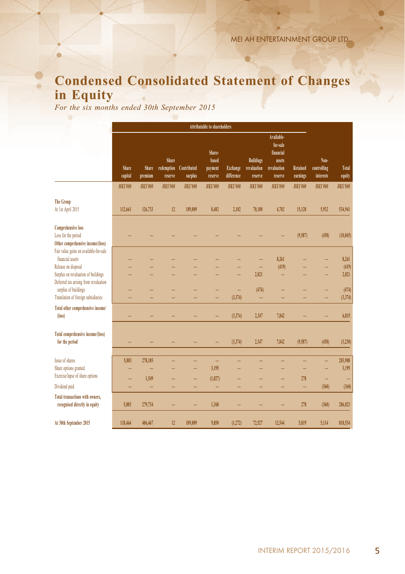# **Condensed Consolidated Statement of Changes in Equity**

*For the six months ended 30th September 2015*

|                                                                                                     | <b>Attributable to shareholders</b> |                  |                                |                        |                                       |                        |                                            |                                                                         |                      |                                  |                  |
|-----------------------------------------------------------------------------------------------------|-------------------------------------|------------------|--------------------------------|------------------------|---------------------------------------|------------------------|--------------------------------------------|-------------------------------------------------------------------------|----------------------|----------------------------------|------------------|
|                                                                                                     | Share<br>capital                    | Share<br>premium | Share<br>redemption<br>reserve | Contributed<br>surplus | Share-<br>based<br>payment<br>reserve | Exchange<br>difference | <b>Buildings</b><br>revaluation<br>reserve | Available-<br>for-sale<br>financial<br>assets<br>revaluation<br>reserve | Retained<br>earnings | Non-<br>controlling<br>interests | Total<br>equity  |
|                                                                                                     | <b>HKS'000</b>                      | <b>HKS'000</b>   | <b>HKS'000</b>                 | <b>HKS'000</b>         | <b>HKS'000</b>                        | <b>HKS'000</b>         | <b>HKS'000</b>                             | <b>HKS'000</b>                                                          | <b>HKS'000</b>       | <b>HKS'000</b>                   | <b>HKS'000</b>   |
| <b>The Group</b><br>At 1st April 2015                                                               | 112,661                             | 126,733          | 12                             | 189,009                | 8,482                                 | 2,102                  | 70,180                                     | 4,702                                                                   | 15,128               | 5,932                            | 534,941          |
| <b>Comprehensive loss</b><br>Loss for the period<br>Other comprehensive income/(loss)               |                                     |                  |                                |                        |                                       |                        |                                            |                                                                         | (9,587)              | (458)                            | (10.045)         |
| Fair value gains on available-for-sale<br>financial assets                                          |                                     |                  |                                |                        |                                       |                        |                                            | 8,261                                                                   |                      |                                  | 8,261            |
| Release on disposal<br>Surplus on revaluation of buildings<br>Deferred tax arising from revaluation |                                     |                  |                                |                        |                                       |                        | ۰<br>2.821                                 | (419)<br>-                                                              |                      | ۰                                | (419)<br>2,821   |
| surplus of buildings<br>Translation of foreign subsidiaries                                         |                                     |                  |                                |                        |                                       | ۳<br>(3, 374)          | (474)<br>-                                 |                                                                         |                      | -                                | (474)<br>(3,374) |
| Total other comprehensive income/<br>$(\text{loss})$                                                |                                     |                  |                                |                        | -                                     | (3,374)                | 2,347                                      | 7,842                                                                   |                      |                                  | 6,815            |
| Total comprehensive income/(loss)<br>for the period                                                 |                                     |                  |                                |                        |                                       | (3, 374)               | 2.347                                      | 7,842                                                                   | (9,587)              | (458)                            | (3,230)          |
| Issue of shares<br>Share options granted                                                            | 5,803                               | 278,185          |                                | -                      | -<br>3,195                            |                        |                                            |                                                                         |                      | -<br>-                           | 283,988<br>3,195 |
| Exercise/lapse of share options<br>Dividend paid                                                    |                                     | 1.549            |                                | -                      | (1,827)<br>۳                          | -                      |                                            | -<br>-                                                                  | 278                  | -<br>(360)                       | ۰<br>(360)       |
| Total transactions with owners,<br>recognised directly in equity                                    | 5.803                               | 279,734          |                                |                        | 1.368                                 |                        |                                            |                                                                         | ۰<br>278             | (360)                            | 286,823          |
| At 30th September 2015                                                                              | 118,464                             | 406,467          | 12                             | 189,009                | 9,850                                 | (1, 272)               | 72.527                                     | 12,544                                                                  | 5.819                | 5.114                            | 818,534          |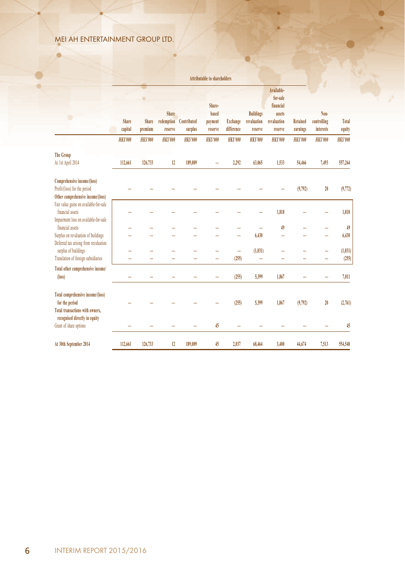۵

|                                                                                                                                | <b>Attributable to shareholders</b> |                  |                                       |                        |                                       |                               |                                            |                                                                         |                             |                                  |                  |
|--------------------------------------------------------------------------------------------------------------------------------|-------------------------------------|------------------|---------------------------------------|------------------------|---------------------------------------|-------------------------------|--------------------------------------------|-------------------------------------------------------------------------|-----------------------------|----------------------------------|------------------|
|                                                                                                                                | Share<br>capital                    | Share<br>premium | <b>Share</b><br>redemption<br>reserve | Contributed<br>surplus | Share-<br>based<br>payment<br>reserve | <b>Exchange</b><br>difference | <b>Buildings</b><br>revaluation<br>reserve | Available-<br>for-sale<br>financial<br>assets<br>revaluation<br>reserve | <b>Retained</b><br>earnings | Non-<br>controlling<br>interests | Total<br>equity  |
|                                                                                                                                | <b>HKS'000</b>                      | <b>HKS'000</b>   | <b>HKS'000</b>                        | <b>HKS'000</b>         | <b>HKS'000</b>                        | <b>HKS'000</b>                | <b>HKS'000</b>                             | <b>HKS'000</b>                                                          | <b>HKS'000</b>              | <b>HKS'000</b>                   | <b>HKS'000</b>   |
| <b>The Group</b>                                                                                                               |                                     |                  |                                       |                        |                                       |                               |                                            |                                                                         |                             |                                  |                  |
| At 1st April 2014                                                                                                              | 112,661                             | 126,733          | 12                                    | 189,009                | ۰                                     | 2.292                         | 63,065                                     | 1,533                                                                   | 54,466                      | 7,493                            | 557,264          |
| Comprehensive income/(loss)<br>Profit/(loss) for the period<br>Other comprehensive income/(loss)                               |                                     |                  |                                       |                        |                                       |                               |                                            |                                                                         | (9,792)                     | 20                               | (9,772)          |
| Fair value gains on available-for-sale<br>financial assets<br>Impairment loss on available-for-sale                            |                                     |                  |                                       |                        |                                       |                               |                                            | 1,818                                                                   |                             |                                  | 1,818            |
| financial assets                                                                                                               |                                     |                  |                                       |                        |                                       |                               |                                            | 49                                                                      |                             |                                  | 49               |
| Surplus on revaluation of buildings<br>Deferred tax arising from revaluation<br>surplus of buildings                           |                                     |                  |                                       |                        |                                       | -<br>-                        | 6,430<br>(1,031)                           | ۰                                                                       |                             | -                                | 6,430<br>(1,031) |
| Translation of foreign subsidiaries                                                                                            |                                     | ۰                |                                       | ۰                      | $\overline{\phantom{a}}$              | (255)                         | ÷                                          | ۰                                                                       | -                           | $\overline{\phantom{a}}$         | (255)            |
| Total other comprehensive income/<br>$(\text{loss})$                                                                           | -                                   | -                |                                       |                        |                                       | (255)                         | 5,399                                      | 1,867                                                                   | -                           | -                                | 7,011            |
| <b>Total comprehensive income/(loss)</b><br>for the period<br>Total transactions with owners,<br>recognised directly in equity |                                     |                  |                                       |                        |                                       | (255)                         | 5,399                                      | 1,867                                                                   | (9,792)                     | 20                               | (2,761)          |
| Grant of share options                                                                                                         |                                     |                  |                                       |                        | 45                                    |                               |                                            |                                                                         |                             |                                  | 45               |
| At 30th September 2014                                                                                                         | 112,661                             | 126,733          | 12                                    | 189,009                | 45                                    | 2,037                         | 68,464                                     | 3,400                                                                   | 44,674                      | 7,513                            | 554,548          |

ö

m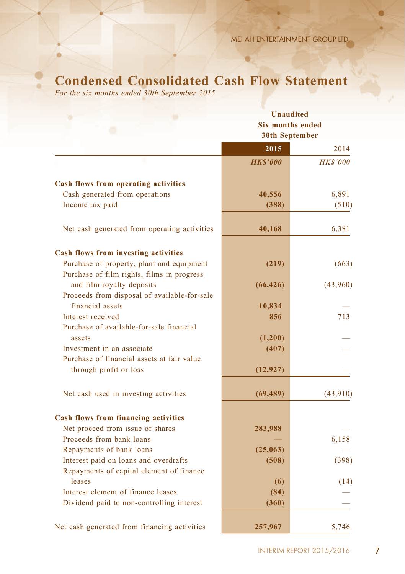# **Condensed Consolidated Cash Flow Statement**

*For the six months ended 30th September 2015*

|                                              | <b>Unaudited</b>                                 |                 |  |  |  |  |
|----------------------------------------------|--------------------------------------------------|-----------------|--|--|--|--|
|                                              | <b>Six months ended</b><br><b>30th September</b> |                 |  |  |  |  |
|                                              |                                                  |                 |  |  |  |  |
|                                              | 2015                                             | 2014            |  |  |  |  |
|                                              | <b>HKS'000</b>                                   | <b>HK\$'000</b> |  |  |  |  |
| <b>Cash flows from operating activities</b>  |                                                  |                 |  |  |  |  |
| Cash generated from operations               | 40,556                                           | 6,891           |  |  |  |  |
| Income tax paid                              | (388)                                            | (510)           |  |  |  |  |
| Net cash generated from operating activities | 40,168                                           | 6,381           |  |  |  |  |
| <b>Cash flows from investing activities</b>  |                                                  |                 |  |  |  |  |
| Purchase of property, plant and equipment    | (219)                                            | (663)           |  |  |  |  |
| Purchase of film rights, films in progress   |                                                  |                 |  |  |  |  |
| and film royalty deposits                    | (66, 426)                                        | (43,960)        |  |  |  |  |
| Proceeds from disposal of available-for-sale |                                                  |                 |  |  |  |  |
| financial assets                             | 10,834                                           |                 |  |  |  |  |
| Interest received                            | 856                                              | 713             |  |  |  |  |
| Purchase of available-for-sale financial     |                                                  |                 |  |  |  |  |
| assets                                       | (1,200)                                          |                 |  |  |  |  |
| Investment in an associate                   | (407)                                            |                 |  |  |  |  |
| Purchase of financial assets at fair value   |                                                  |                 |  |  |  |  |
| through profit or loss                       | (12, 927)                                        |                 |  |  |  |  |
|                                              |                                                  |                 |  |  |  |  |
| Net cash used in investing activities        | (69, 489)                                        | (43,910)        |  |  |  |  |
| <b>Cash flows from financing activities</b>  |                                                  |                 |  |  |  |  |
| Net proceed from issue of shares             | 283,988                                          |                 |  |  |  |  |
| Proceeds from bank loans                     |                                                  | 6,158           |  |  |  |  |
| Repayments of bank loans                     | (25,063)                                         |                 |  |  |  |  |
| Interest paid on loans and overdrafts        | (508)                                            | (398)           |  |  |  |  |
| Repayments of capital element of finance     |                                                  |                 |  |  |  |  |
| leases                                       | (6)                                              | (14)            |  |  |  |  |
| Interest element of finance leases           | (84)                                             |                 |  |  |  |  |
| Dividend paid to non-controlling interest    | (360)                                            |                 |  |  |  |  |
|                                              |                                                  |                 |  |  |  |  |
| Net cash generated from financing activities | 257,967                                          | 5,746           |  |  |  |  |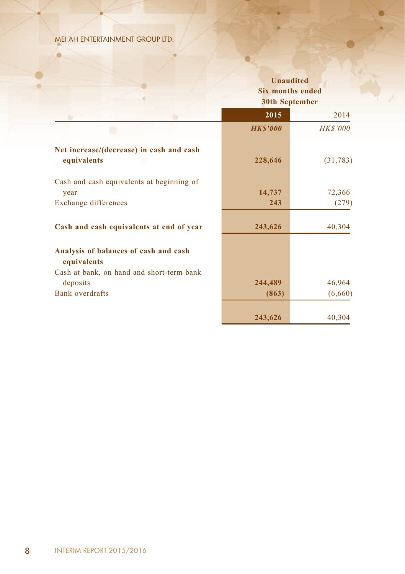ö

|                                                         | <b>Unaudited</b><br><b>Six months ended</b><br><b>30th September</b> |          |
|---------------------------------------------------------|----------------------------------------------------------------------|----------|
|                                                         | 2015                                                                 | 2014     |
|                                                         | <b>HKS'000</b>                                                       | HK\$'000 |
| Net increase/(decrease) in cash and cash<br>equivalents | 228,646                                                              | (31,783) |
| Cash and cash equivalents at beginning of               |                                                                      |          |
| year                                                    | 14,737                                                               | 72,366   |
| Exchange differences                                    | 243                                                                  | (279)    |
| Cash and cash equivalents at end of year                | 243,626                                                              | 40,304   |
| Analysis of balances of cash and cash<br>equivalents    |                                                                      |          |
| Cash at bank, on hand and short-term bank               |                                                                      |          |
| deposits<br>Bank overdrafts                             | 244,489                                                              | 46,964   |
|                                                         | (863)                                                                | (6,660)  |
|                                                         | 243,626                                                              | 40,304   |

ö

 $\bullet$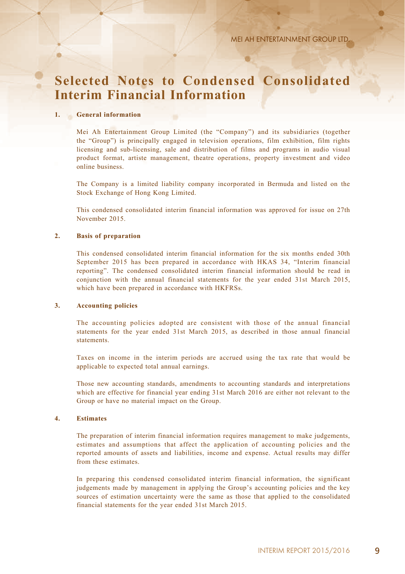# **Selected Notes to Condensed Consolidated Interim Financial Information**

### **1. General information**

Mei Ah Entertainment Group Limited (the "Company") and its subsidiaries (together the "Group") is principally engaged in television operations, film exhibition, film rights licensing and sub-licensing, sale and distribution of films and programs in audio visual product format, artiste management, theatre operations, property investment and video online business.

The Company is a limited liability company incorporated in Bermuda and listed on the Stock Exchange of Hong Kong Limited.

This condensed consolidated interim financial information was approved for issue on 27th November 2015.

#### **2. Basis of preparation**

This condensed consolidated interim financial information for the six months ended 30th September 2015 has been prepared in accordance with HKAS 34, "Interim financial reporting". The condensed consolidated interim financial information should be read in conjunction with the annual financial statements for the year ended 31st March 2015, which have been prepared in accordance with HKFRSs.

#### **3. Accounting policies**

The accounting policies adopted are consistent with those of the annual financial statements for the year ended 31st March 2015, as described in those annual financial statements.

Taxes on income in the interim periods are accrued using the tax rate that would be applicable to expected total annual earnings.

Those new accounting standards, amendments to accounting standards and interpretations which are effective for financial year ending 31st March 2016 are either not relevant to the Group or have no material impact on the Group.

#### **4. Estimates**

The preparation of interim financial information requires management to make judgements, estimates and assumptions that affect the application of accounting policies and the reported amounts of assets and liabilities, income and expense. Actual results may differ from these estimates.

In preparing this condensed consolidated interim financial information, the significant judgements made by management in applying the Group's accounting policies and the key sources of estimation uncertainty were the same as those that applied to the consolidated financial statements for the year ended 31st March 2015.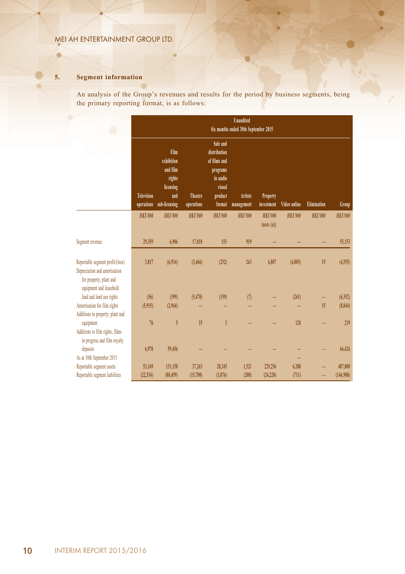## **5. Segment information**

ø

An analysis of the Group's revenues and results for the period by business segments, being the primary reporting format, is as follows:

×

|                                                                                                                         | <b>Unaudited</b>                     |                                                                               |                       |                                                                                                 |                       |                             |                |                    |                |  |  |  |  |
|-------------------------------------------------------------------------------------------------------------------------|--------------------------------------|-------------------------------------------------------------------------------|-----------------------|-------------------------------------------------------------------------------------------------|-----------------------|-----------------------------|----------------|--------------------|----------------|--|--|--|--|
| ۰                                                                                                                       | Six months ended 30th September 2015 |                                                                               |                       |                                                                                                 |                       |                             |                |                    |                |  |  |  |  |
|                                                                                                                         | <b>Television</b><br>operations      | Film<br>exhibition<br>and film<br>rights<br>licensing<br>and<br>sub-licensing | Theatre<br>operations | Sale and<br>distribution<br>of films and<br>programs<br>in audio<br>visual<br>product<br>format | Artiste<br>management | Property<br>investment      | Video online   | <b>Elimination</b> | Group          |  |  |  |  |
|                                                                                                                         | <b>HKS'000</b>                       | <b>HKS'000</b>                                                                | <b>HKS'000</b>        | <b>HKS'000</b>                                                                                  | <b>HKS'000</b>        | <b>HKS'000</b><br>(note(a)) | <b>HKS'000</b> | <b>HKS'000</b>     | <b>HKS'000</b> |  |  |  |  |
| Segment revenue                                                                                                         | 29,359                               | 6,906                                                                         | 17,818                | 151                                                                                             | 919                   |                             |                |                    | 55,153         |  |  |  |  |
| Reportable segment profit/(loss)<br>Depreciation and amortisation<br>for property, plant and<br>equipment and leasehold | 3,817                                | (6,934)                                                                       | (3, 466)              | (252)                                                                                           | 263                   | 6,807                       | (4,805)        | 15                 | (4,555)        |  |  |  |  |
| land and land use rights                                                                                                | (56)                                 | (399)                                                                         | (5.470)               | (159)                                                                                           | (7)                   |                             | (261)          |                    | (6, 352)       |  |  |  |  |
| Amortisation for film rights<br>Additions to property, plant and                                                        | (5,915)                              | (2,944)                                                                       |                       |                                                                                                 |                       |                             |                | 15                 | (8, 844)       |  |  |  |  |
| equipment<br>Additions to film rights, films<br>in progress and film royalty                                            | 76                                   | 5                                                                             | 15                    | $\overline{3}$                                                                                  |                       |                             | 120            |                    | 219            |  |  |  |  |
| deposits<br>As at 30th September 2015                                                                                   | 6,970                                | 59,456                                                                        |                       |                                                                                                 |                       |                             |                |                    | 66,426         |  |  |  |  |
| Reportable segment assets                                                                                               | 53,169                               | 131,158                                                                       | 37,263                | 28,345                                                                                          | 1,521                 | 229,256                     | 6,288          |                    | 487,000        |  |  |  |  |
| Reportable segment liabilities                                                                                          | (22, 534)                            | (80.459)                                                                      | (15,700)              | (3,076)                                                                                         | (208)                 | (24, 220)                   | (711)          |                    | (146,908)      |  |  |  |  |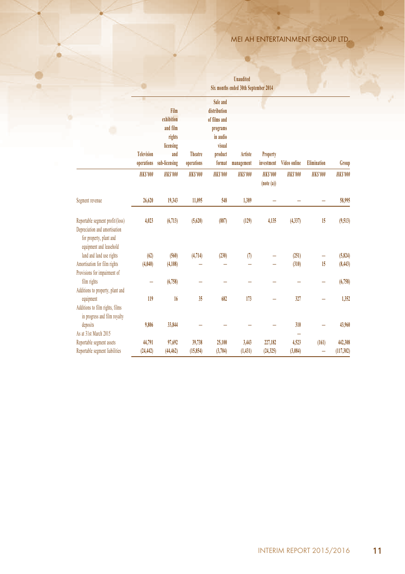a.

|                                                                                                                         | Six months ended 30th September 2014 |                |                              |                                                                                                 |                       |                               |                     |                    |                |
|-------------------------------------------------------------------------------------------------------------------------|--------------------------------------|----------------|------------------------------|-------------------------------------------------------------------------------------------------|-----------------------|-------------------------------|---------------------|--------------------|----------------|
| o                                                                                                                       | <b>Television</b><br>operations      |                | <b>Theatre</b><br>operations | Sale and<br>distribution<br>of films and<br>programs<br>in audio<br>visual<br>product<br>format | Artiste<br>management | <b>Property</b><br>investment | <b>Video online</b> | <b>Elimination</b> | Group          |
|                                                                                                                         | <b>HKS'000</b>                       | <b>HKS'000</b> | <b>HKS'000</b>               | <b>HKS'000</b>                                                                                  | <b>HKS'000</b>        | <b>HKS'000</b><br>(note(a))   | <b>HKS'000</b>      | <b>HKS'000</b>     | <b>HKS'000</b> |
| Segment revenue                                                                                                         | 26,620                               | 19,343         | 11,095                       | 548                                                                                             | 1,389                 |                               |                     |                    | 58,995         |
| Reportable segment profit/(loss)<br>Depreciation and amortisation<br>for property, plant and<br>equipment and leasehold | 4,023                                | (6, 713)       | (5,620)                      | (887)                                                                                           | (129)                 | 4,135                         | (4, 337)            | 15                 | (9,513)        |
| land and land use rights                                                                                                | (62)                                 | (560)          | (4, 714)                     | (230)                                                                                           | (7)                   |                               | (251)               | ÷                  | (5, 824)       |
| Amortisation for film rights<br>Provisions for impairment of                                                            | (4,040)                              | (4,108)        |                              |                                                                                                 |                       |                               | (310)               | 15                 | (8, 443)       |
| film rights<br>Additions to property, plant and                                                                         | -                                    | (6,758)        |                              | -                                                                                               |                       |                               |                     | -                  | (6,758)        |
| equipment<br>Additions to film rights, films<br>in progress and film royalty                                            | 119                                  | 16             | 35                           | 682                                                                                             | 173                   |                               | 327                 | -                  | 1.352          |
| deposits<br>As at 31st March 2015                                                                                       | 9,806                                | 33,844         |                              |                                                                                                 |                       |                               | 310                 | -                  | 43,960         |
| Reportable segment assets                                                                                               | 44,791                               | 97,692         | 39,738                       | 25,100                                                                                          | 3,443                 | 227,182                       | 4,523               | (161)              | 442,308        |
| Reportable segment liabilities                                                                                          | (24, 442)                            | (44, 462)      | (15, 854)                    | (3,704)                                                                                         | (1, 431)              | (24, 325)                     | (3,084)             |                    | (117,302)      |

**Unaudited** 

**VE**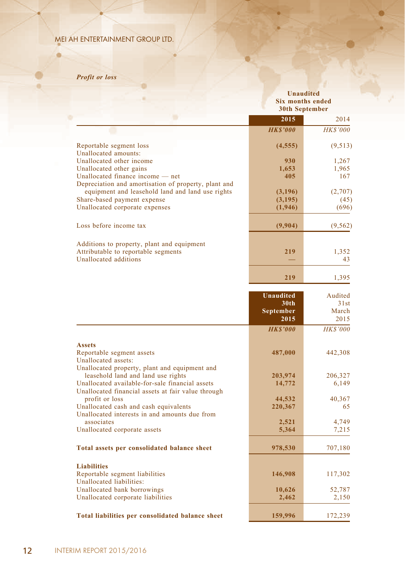# *Profit or loss*

۵

|                                                                                                          |                  | <b>Unaudited</b><br><b>Six months ended</b><br><b>30th September</b> |
|----------------------------------------------------------------------------------------------------------|------------------|----------------------------------------------------------------------|
|                                                                                                          | 2015             | 2014                                                                 |
|                                                                                                          | <b>HKS'000</b>   | <b>HK\$'000</b>                                                      |
| Reportable segment loss<br>Unallocated amounts:                                                          | (4, 555)         | (9, 513)                                                             |
| Unallocated other income                                                                                 | 930              | 1,267                                                                |
| Unallocated other gains                                                                                  | 1.653            | 1,965                                                                |
| Unallocated finance income — net                                                                         | 405              | 167                                                                  |
| Depreciation and amortisation of property, plant and<br>equipment and leasehold land and land use rights | (3,196)          | (2,707)                                                              |
| Share-based payment expense                                                                              | (3,195)          | (45)                                                                 |
| Unallocated corporate expenses                                                                           | (1,946)          | (696)                                                                |
| Loss before income tax                                                                                   | (9,904)          | (9, 562)                                                             |
|                                                                                                          |                  |                                                                      |
| Additions to property, plant and equipment<br>Attributable to reportable segments                        | 219              |                                                                      |
| <b>Unallocated additions</b>                                                                             |                  | 1,352<br>43                                                          |
|                                                                                                          |                  |                                                                      |
|                                                                                                          | 219              | 1,395                                                                |
|                                                                                                          | <b>Unaudited</b> | Audited                                                              |
|                                                                                                          | 30th             | 31st                                                                 |
|                                                                                                          | September        | March                                                                |
|                                                                                                          | 2015             | 2015                                                                 |
|                                                                                                          | <b>HKS'000</b>   | <b>HK\$'000</b>                                                      |
| <b>Assets</b>                                                                                            |                  |                                                                      |
| Reportable segment assets                                                                                | 487,000          | 442,308                                                              |
| Unallocated assets:<br>Unallocated property, plant and equipment and                                     |                  |                                                                      |
| leasehold land and land use rights                                                                       | 203,974          | 206,327                                                              |
| Unallocated available-for-sale financial assets                                                          | 14,772           | 6,149                                                                |
| Unallocated financial assets at fair value through                                                       |                  |                                                                      |
| profit or loss                                                                                           | 44.532           | 40,367                                                               |
| Unallocated cash and cash equivalents                                                                    | 220,367          | 65                                                                   |
| Unallocated interests in and amounts due from<br>associates                                              | 2,521            | 4,749                                                                |
| Unallocated corporate assets                                                                             | 5,364            | 7,215                                                                |
| Total assets per consolidated balance sheet                                                              | 978,530          | 707,180                                                              |
|                                                                                                          |                  |                                                                      |
| <b>Liabilities</b>                                                                                       |                  |                                                                      |
| Reportable segment liabilities<br>Unallocated liabilities:                                               | 146,908          | 117,302                                                              |
| Unallocated bank borrowings                                                                              | 10,626           | 52,787                                                               |
| Unallocated corporate liabilities                                                                        | 2,462            | 2,150                                                                |

a.

m

**Total liabilities per consolidated balance sheet** 159,996 172,239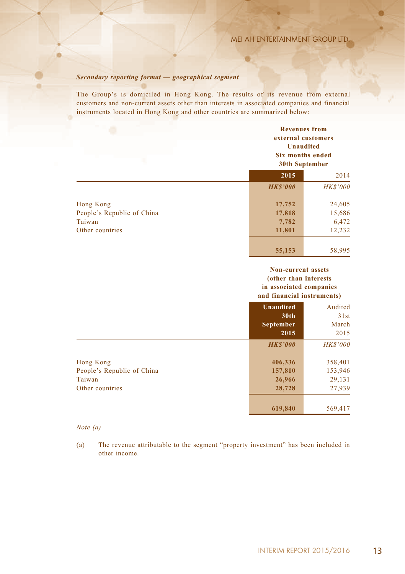# *Secondary reporting format — geographical segment*

The Group's is domiciled in Hong Kong. The results of its revenue from external customers and non-current assets other than interests in associated companies and financial instruments located in Hong Kong and other countries are summarized below:

|                            | <b>Revenues from</b><br>external customers<br><b>Unaudited</b><br>Six months ended<br>30th September |                 |
|----------------------------|------------------------------------------------------------------------------------------------------|-----------------|
|                            | 2015                                                                                                 | 2014            |
|                            | <b>HKS'000</b>                                                                                       | <b>HK\$'000</b> |
| Hong Kong                  | 17,752                                                                                               | 24,605          |
| People's Republic of China | 17,818                                                                                               | 15,686          |
| Taiwan                     | 7,782                                                                                                | 6,472           |
| Other countries            | 11,801                                                                                               | 12,232          |
|                            | 55,153                                                                                               | 58,995          |

#### **Non-current assets (other than interests in associated companies and financial instruments)**

|                                                                      | <b>Unaudited</b><br>30 <sub>th</sub><br><b>September</b><br>2015 | Audited<br>31st<br>March<br>2015       |
|----------------------------------------------------------------------|------------------------------------------------------------------|----------------------------------------|
|                                                                      | <b>HK\$'000</b>                                                  | <b>HK\$'000</b>                        |
| Hong Kong<br>People's Republic of China<br>Taiwan<br>Other countries | 406,336<br>157,810<br>26,966<br>28,728                           | 358,401<br>153,946<br>29,131<br>27,939 |
|                                                                      | 619,840                                                          | 569,417                                |

### *Note (a)*

(a) The revenue attributable to the segment "property investment" has been included in other income.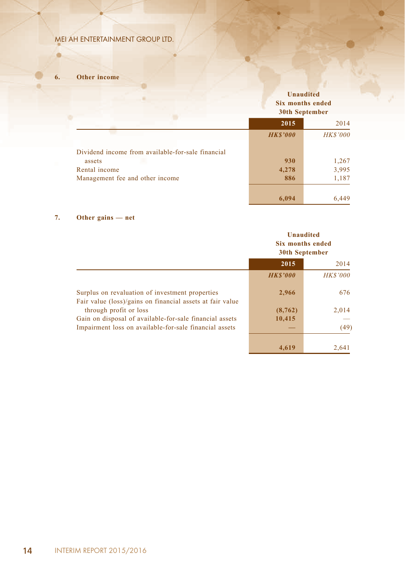**6. Other income**

ö

|                                                   |                | <b>Unaudited</b><br><b>Six months ended</b><br>30th September |  |
|---------------------------------------------------|----------------|---------------------------------------------------------------|--|
|                                                   | 2015           | 2014                                                          |  |
|                                                   | <b>HKS'000</b> | <b>HK\$'000</b>                                               |  |
| Dividend income from available-for-sale financial |                |                                                               |  |
| assets                                            | 930            | 1,267                                                         |  |
| Rental income                                     | 4,278          | 3,995                                                         |  |
| Management fee and other income                   | 886            | 1,187                                                         |  |
|                                                   | 6.094          | 6.449                                                         |  |

o.

m

# **7. Other gains — net**

|                                                                                                              | <b>Unaudited</b><br>Six months ended<br>30th September |                 |
|--------------------------------------------------------------------------------------------------------------|--------------------------------------------------------|-----------------|
|                                                                                                              | 2015                                                   | 2014            |
|                                                                                                              | <b>HKS'000</b>                                         | <b>HK\$'000</b> |
| Surplus on revaluation of investment properties<br>Fair value (loss)/gains on financial assets at fair value | 2,966                                                  | 676             |
| through profit or loss                                                                                       | (8, 762)                                               | 2,014           |
| Gain on disposal of available-for-sale financial assets                                                      | 10,415                                                 |                 |
| Impairment loss on available-for-sale financial assets                                                       |                                                        | (49)            |
|                                                                                                              | 4.619                                                  | 2.641           |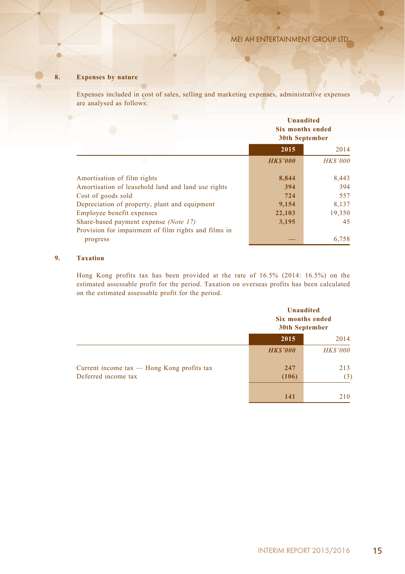# **8. Expenses by nature**

Expenses included in cost of sales, selling and marketing expenses, administrative expenses are analysed as follows:

|                                                      | <b>Unaudited</b><br>Six months ended<br><b>30th September</b> |                 |
|------------------------------------------------------|---------------------------------------------------------------|-----------------|
|                                                      | 2015                                                          | 2014            |
|                                                      | <b>HKS'000</b>                                                | <b>HK\$'000</b> |
| Amortisation of film rights                          | 8,844                                                         | 8,443           |
| Amortisation of leasehold land and land use rights   | 394                                                           | 394             |
| Cost of goods sold                                   | 724                                                           | 557             |
| Depreciation of property, plant and equipment        | 9,154                                                         | 8,137           |
| Employee benefit expenses                            | 22,103                                                        | 19,350          |
| Share-based payment expense (Note 17)                | 3,195                                                         | 45              |
| Provision for impairment of film rights and films in |                                                               |                 |
| progress                                             |                                                               | 6,758           |

### **9. Taxation**

Hong Kong profits tax has been provided at the rate of 16.5% (2014: 16.5%) on the estimated assessable profit for the period. Taxation on overseas profits has been calculated on the estimated assessable profit for the period.

|                                                | Six months ended<br>30th September | <b>Unaudited</b> |
|------------------------------------------------|------------------------------------|------------------|
|                                                | 2015                               | 2014             |
|                                                | <b>HKS'000</b>                     | <b>HK\$'000</b>  |
| Current income $tax$ — Hong Kong profits $tax$ | 247                                | 213              |
| Deferred income tax                            | (106)                              | (3)              |
|                                                | 141                                | 210              |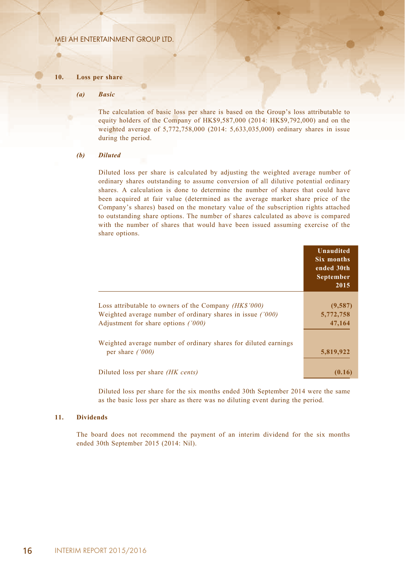#### **10. Loss per share**

ø

#### *(a) Basic*

The calculation of basic loss per share is based on the Group's loss attributable to equity holders of the Company of HK\$9,587,000 (2014: HK\$9,792,000) and on the weighted average of 5,772,758,000 (2014: 5,633,035,000) ordinary shares in issue during the period.

#### *(b) Diluted*

Diluted loss per share is calculated by adjusting the weighted average number of ordinary shares outstanding to assume conversion of all dilutive potential ordinary shares. A calculation is done to determine the number of shares that could have been acquired at fair value (determined as the average market share price of the Company's shares) based on the monetary value of the subscription rights attached to outstanding share options. The number of shares calculated as above is compared with the number of shares that would have been issued assuming exercise of the share options.

|                                                                                                                                                            | Unaudited<br>Six months<br>ended 30th<br><b>September</b><br>2015 |
|------------------------------------------------------------------------------------------------------------------------------------------------------------|-------------------------------------------------------------------|
| Loss attributable to owners of the Company (HK\$'000)<br>Weighted average number of ordinary shares in issue ('000)<br>Adjustment for share options ('000) | (9,587)<br>5,772,758<br>47,164                                    |
| Weighted average number of ordinary shares for diluted earnings<br>per share $(1000)$                                                                      | 5,819,922                                                         |
| Diluted loss per share <i>(HK cents)</i>                                                                                                                   | (0.16)                                                            |

Diluted loss per share for the six months ended 30th September 2014 were the same as the basic loss per share as there was no diluting event during the period.

#### **11. Dividends**

The board does not recommend the payment of an interim dividend for the six months ended 30th September 2015 (2014: Nil).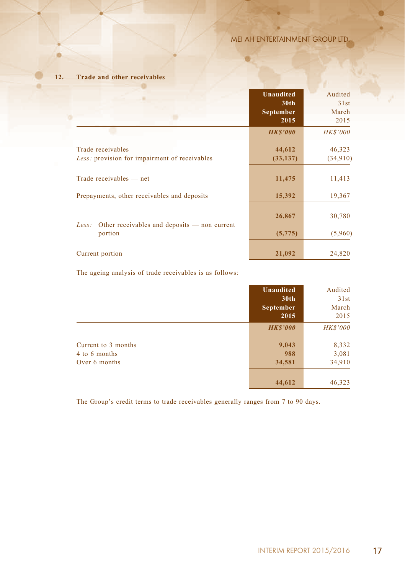×

# **12. Trade and other receivables**

|                                                                    | <b>Unaudited</b><br>30 <sub>th</sub><br><b>September</b><br>2015 | Audited<br>31st<br>March<br>2015 |
|--------------------------------------------------------------------|------------------------------------------------------------------|----------------------------------|
|                                                                    | <b>HKS'000</b>                                                   | <b>HK\$'000</b>                  |
| Trade receivables<br>Less: provision for impairment of receivables | 44,612<br>(33, 137)                                              | 46,323<br>(34,910)               |
| Trade receivables — net                                            | 11,475                                                           | 11,413                           |
| Prepayments, other receivables and deposits                        | 15,392                                                           | 19,367                           |
| Other receivables and deposits — non current<br>Less:              | 26,867                                                           | 30,780                           |
| portion                                                            | (5,775)                                                          | (5,960)                          |
| Current portion                                                    | 21,092                                                           | 24,820                           |

The ageing analysis of trade receivables is as follows:

|                                                       | Unaudited<br>30th<br><b>September</b><br>2015 | Audited<br>31st<br>March<br>2015 |
|-------------------------------------------------------|-----------------------------------------------|----------------------------------|
|                                                       | <b>HKS'000</b>                                | <b>HK\$'000</b>                  |
| Current to 3 months<br>4 to 6 months<br>Over 6 months | 9,043<br>988<br>34,581                        | 8,332<br>3,081<br>34,910         |
|                                                       | 44,612                                        | 46,323                           |

The Group's credit terms to trade receivables generally ranges from 7 to 90 days.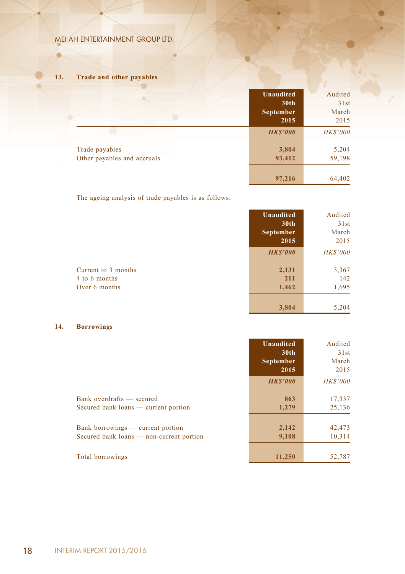# **13. Trade and other payables**

ö

|                                               | <b>Unaudited</b><br>30 <sub>th</sub><br><b>September</b><br>2015 | Audited<br>31st<br>March<br>2015 |
|-----------------------------------------------|------------------------------------------------------------------|----------------------------------|
|                                               | <b>HK\$'000</b>                                                  | <b>HK\$'000</b>                  |
| Trade payables<br>Other payables and accruals | 3,804<br>93,412                                                  | 5,204<br>59,198                  |
|                                               | 97,216                                                           | 64,402                           |

a.

m

The ageing analysis of trade payables is as follows:

|                     | <b>Unaudited</b> | Audited         |
|---------------------|------------------|-----------------|
|                     | 30 <sub>th</sub> | 31st            |
|                     | <b>September</b> | March           |
|                     | 2015             | 2015            |
|                     | <b>HKS'000</b>   | <b>HK\$'000</b> |
| Current to 3 months | 2,131            | 3,367           |
| 4 to 6 months       | 211              | 142             |
| Over 6 months       | 1,462            | 1,695           |
|                     | 3,804            | 5,204           |

# **14. Borrowings**

|                                                                               | <b>Unaudited</b><br>30 <sub>th</sub><br><b>September</b><br>2015 | Audited<br>31st<br>March<br>2015 |
|-------------------------------------------------------------------------------|------------------------------------------------------------------|----------------------------------|
|                                                                               | <b>HKS'000</b>                                                   | <b>HK\$'000</b>                  |
| Bank overdrafts — secured<br>Secured bank loans — current portion             | 863<br>1,279                                                     | 17,337<br>25,136                 |
| Bank borrowings — current portion<br>Secured bank loans — non-current portion | 2,142<br>9,108                                                   | 42,473<br>10,314                 |
| Total borrowings                                                              | 11,250                                                           | 52,787                           |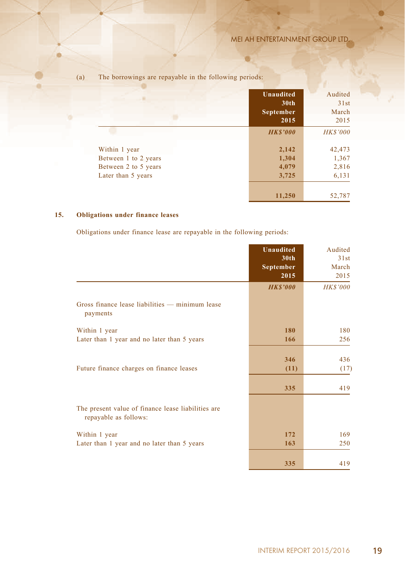×

|                                                                                     | <b>Unaudited</b><br>30 <sub>th</sub><br>September<br>2015 | Audited<br>31st<br>March<br>2015  |
|-------------------------------------------------------------------------------------|-----------------------------------------------------------|-----------------------------------|
|                                                                                     | <b>HKS'000</b>                                            | <b>HK\$'000</b>                   |
| Within 1 year<br>Between 1 to 2 years<br>Between 2 to 5 years<br>Later than 5 years | 2,142<br>1,304<br>4,079<br>3,725                          | 42,473<br>1,367<br>2,816<br>6,131 |
|                                                                                     | 11,250                                                    | 52,787                            |

×

# (a) The borrowings are repayable in the following periods:

# **15. Obligations under finance leases**

Obligations under finance lease are repayable in the following periods:

|                                                                             | <b>Unaudited</b><br>30 <sub>th</sub><br>September<br>2015 | Audited<br>31st<br>March<br>2015 |
|-----------------------------------------------------------------------------|-----------------------------------------------------------|----------------------------------|
|                                                                             | <b>HKS'000</b>                                            | <b>HK\$'000</b>                  |
| Gross finance lease liabilities — minimum lease<br>payments                 |                                                           |                                  |
| Within 1 year                                                               | 180                                                       | 180                              |
| Later than 1 year and no later than 5 years                                 | 166                                                       | 256                              |
|                                                                             |                                                           |                                  |
|                                                                             | 346                                                       | 436                              |
| Future finance charges on finance leases                                    | (11)                                                      | (17)                             |
|                                                                             | 335                                                       | 419                              |
| The present value of finance lease liabilities are<br>repayable as follows: |                                                           |                                  |
| Within 1 year                                                               | 172                                                       | 169                              |
| Later than 1 year and no later than 5 years                                 | 163                                                       | 250                              |
|                                                                             | 335                                                       | 419                              |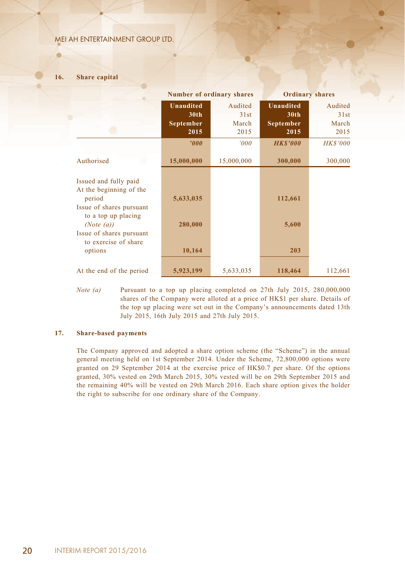### **16. Share capital**

ø

|                                                                  | <b>Number of ordinary shares</b> |                 | <b>Ordinary shares</b>               |                 |
|------------------------------------------------------------------|----------------------------------|-----------------|--------------------------------------|-----------------|
|                                                                  | <b>Unaudited</b><br>30th         | Audited<br>31st | <b>Unaudited</b><br>30 <sub>th</sub> | Audited<br>31st |
|                                                                  | September<br>2015                | March<br>2015   | September<br>2015                    | March<br>2015   |
|                                                                  | $\boldsymbol{v}$                 | '000'           | <b>HKS'000</b>                       | <b>HK\$'000</b> |
| Authorised                                                       | 15,000,000                       | 15,000,000      | 300,000                              | 300,000         |
| Issued and fully paid<br>At the beginning of the                 |                                  |                 |                                      |                 |
| period<br>Issue of shares pursuant                               | 5,633,035                        |                 | 112,661                              |                 |
| to a top up placing<br>(Note $(a)$ )<br>Issue of shares pursuant | 280,000                          |                 | 5,600                                |                 |
| to exercise of share<br>options                                  | 10,164                           |                 | 203                                  |                 |
| At the end of the period                                         | 5,923,199                        | 5,633,035       | 118,464                              | 112,661         |

*Note (a)* Pursuant to a top up placing completed on 27th July 2015, 280,000,000 shares of the Company were alloted at a price of HK\$1 per share. Details of the top up placing were set out in the Company's announcements dated 13th July 2015, 16th July 2015 and 27th July 2015.

### **17. Share-based payments**

The Company approved and adopted a share option scheme (the "Scheme") in the annual general meeting held on 1st September 2014. Under the Scheme, 72,800,000 options were granted on 29 September 2014 at the exercise price of HK\$0.7 per share. Of the options granted, 30% vested on 29th March 2015, 30% vested will be on 29th September 2015 and the remaining 40% will be vested on 29th March 2016. Each share option gives the holder the right to subscribe for one ordinary share of the Company.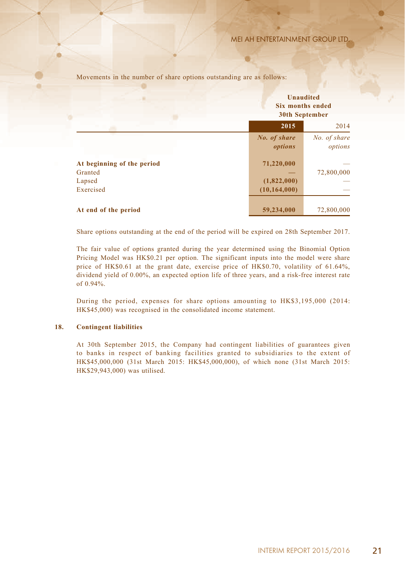Movements in the number of share options outstanding are as follows:

|                                       | <b>Unaudited</b><br>Six months ended<br><b>30th September</b> |                         |
|---------------------------------------|---------------------------------------------------------------|-------------------------|
|                                       | 2015                                                          | 2014                    |
|                                       | No. of share<br>options                                       | No. of share<br>options |
| At beginning of the period<br>Granted | 71,220,000                                                    | 72,800,000              |
| Lapsed                                | (1,822,000)                                                   |                         |
| Exercised                             | (10, 164, 000)                                                |                         |
| At end of the period                  | 59,234,000                                                    | 72,800,000              |

Share options outstanding at the end of the period will be expired on 28th September 2017.

The fair value of options granted during the year determined using the Binomial Option Pricing Model was HK\$0.21 per option. The significant inputs into the model were share price of HK\$0.61 at the grant date, exercise price of HK\$0.70, volatility of 61.64%, dividend yield of 0.00%, an expected option life of three years, and a risk-free interest rate of 0.94%.

During the period, expenses for share options amounting to HK\$3,195,000 (2014: HK\$45,000) was recognised in the consolidated income statement.

#### **18. Contingent liabilities**

At 30th September 2015, the Company had contingent liabilities of guarantees given to banks in respect of banking facilities granted to subsidiaries to the extent of HK\$45,000,000 (31st March 2015: HK\$45,000,000), of which none (31st March 2015: HK\$29,943,000) was utilised.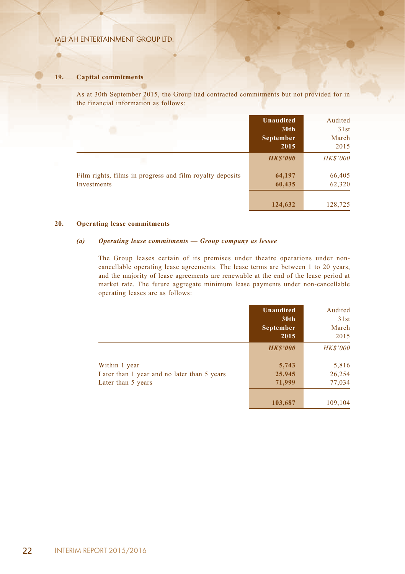### **19. Capital commitments**

ø

As at 30th September 2015, the Group had contracted commitments but not provided for in the financial information as follows:

|                                                                         | Unaudited<br>30 <sub>th</sub><br><b>September</b><br>2015 | Audited<br>31st<br>March<br>2015 |
|-------------------------------------------------------------------------|-----------------------------------------------------------|----------------------------------|
|                                                                         | <b>HKS'000</b>                                            | <b>HK\$'000</b>                  |
| Film rights, films in progress and film royalty deposits<br>Investments | 64,197<br>60,435                                          | 66,405<br>62,320                 |
|                                                                         | 124,632                                                   | 128,725                          |

#### **20. Operating lease commitments**

#### *(a) Operating lease commitments — Group company as lessee*

The Group leases certain of its premises under theatre operations under noncancellable operating lease agreements. The lease terms are between 1 to 20 years, and the majority of lease agreements are renewable at the end of the lease period at market rate. The future aggregate minimum lease payments under non-cancellable operating leases are as follows:

|                                                              | Unaudited<br>30 <sub>th</sub><br>September<br>2015 | Audited<br>31st<br>March<br>2015 |
|--------------------------------------------------------------|----------------------------------------------------|----------------------------------|
|                                                              | <b>HKS'000</b>                                     | <b>HK\$'000</b>                  |
| Within 1 year<br>Later than 1 year and no later than 5 years | 5,743<br>25,945                                    | 5,816<br>26,254                  |
| Later than 5 years                                           | 71,999                                             | 77,034                           |
|                                                              | 103,687                                            | 109,104                          |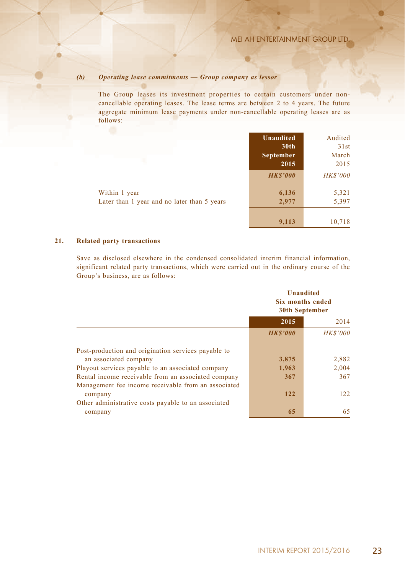# *(b) Operating lease commitments — Group company as lessor*

The Group leases its investment properties to certain customers under noncancellable operating leases. The lease terms are between 2 to 4 years. The future aggregate minimum lease payments under non-cancellable operating leases are as follows:

|                                                              | <b>Unaudited</b><br>30 <sub>th</sub><br>September<br>2015 | Audited<br>31st<br>March<br>2015 |
|--------------------------------------------------------------|-----------------------------------------------------------|----------------------------------|
|                                                              | <b>HKS'000</b>                                            | <b>HK\$'000</b>                  |
| Within 1 year<br>Later than 1 year and no later than 5 years | 6,136<br>2,977                                            | 5,321<br>5,397                   |
|                                                              | 9,113                                                     | 10,718                           |

# **21. Related party transactions**

Save as disclosed elsewhere in the condensed consolidated interim financial information, significant related party transactions, which were carried out in the ordinary course of the Group's business, are as follows:

|                                                     | <b>Unaudited</b><br>Six months ended<br><b>30th September</b> |                 |
|-----------------------------------------------------|---------------------------------------------------------------|-----------------|
|                                                     | 2015                                                          | 2014            |
|                                                     | <b>HKS'000</b>                                                | <b>HK\$'000</b> |
| Post-production and origination services payable to |                                                               |                 |
| an associated company                               | 3,875                                                         | 2,882           |
| Playout services payable to an associated company   | 1,963                                                         | 2,004           |
| Rental income receivable from an associated company | 367                                                           | 367             |
| Management fee income receivable from an associated |                                                               |                 |
| company                                             | 122                                                           | 122             |
| Other administrative costs payable to an associated |                                                               |                 |
| company                                             | 65                                                            | 65              |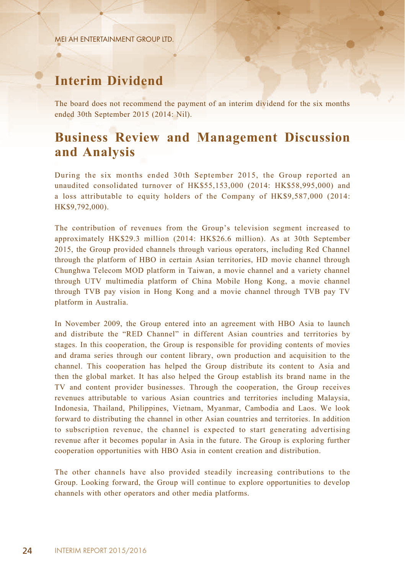# **Interim Dividend**

The board does not recommend the payment of an interim dividend for the six months ended 30th September 2015 (2014: Nil).

# **Business Review and Management Discussion and Analysis**

During the six months ended 30th September 2015, the Group reported an unaudited consolidated turnover of HK\$55,153,000 (2014: HK\$58,995,000) and a loss attributable to equity holders of the Company of HK\$9,587,000 (2014: HK\$9,792,000).

The contribution of revenues from the Group's television segment increased to approximately HK\$29.3 million (2014: HK\$26.6 million). As at 30th September 2015, the Group provided channels through various operators, including Red Channel through the platform of HBO in certain Asian territories, HD movie channel through Chunghwa Telecom MOD platform in Taiwan, a movie channel and a variety channel through UTV multimedia platform of China Mobile Hong Kong, a movie channel through TVB pay vision in Hong Kong and a movie channel through TVB pay TV platform in Australia.

In November 2009, the Group entered into an agreement with HBO Asia to launch and distribute the "RED Channel" in different Asian countries and territories by stages. In this cooperation, the Group is responsible for providing contents of movies and drama series through our content library, own production and acquisition to the channel. This cooperation has helped the Group distribute its content to Asia and then the global market. It has also helped the Group establish its brand name in the TV and content provider businesses. Through the cooperation, the Group receives revenues attributable to various Asian countries and territories including Malaysia, Indonesia, Thailand, Philippines, Vietnam, Myanmar, Cambodia and Laos. We look forward to distributing the channel in other Asian countries and territories. In addition to subscription revenue, the channel is expected to start generating advertising revenue after it becomes popular in Asia in the future. The Group is exploring further cooperation opportunities with HBO Asia in content creation and distribution.

The other channels have also provided steadily increasing contributions to the Group. Looking forward, the Group will continue to explore opportunities to develop channels with other operators and other media platforms.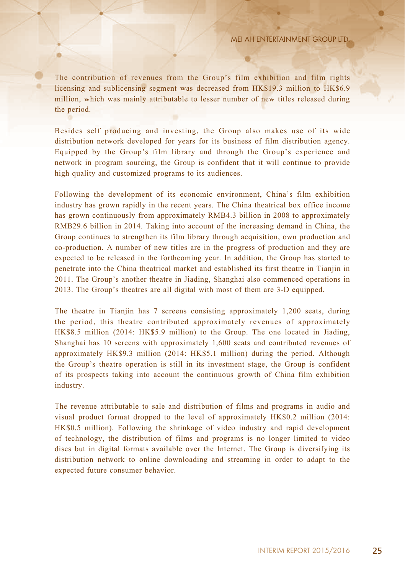The contribution of revenues from the Group's film exhibition and film rights licensing and sublicensing segment was decreased from HK\$19.3 million to HK\$6.9 million, which was mainly attributable to lesser number of new titles released during the period.

Besides self producing and investing, the Group also makes use of its wide distribution network developed for years for its business of film distribution agency. Equipped by the Group's film library and through the Group's experience and network in program sourcing, the Group is confident that it will continue to provide high quality and customized programs to its audiences.

Following the development of its economic environment, China's film exhibition industry has grown rapidly in the recent years. The China theatrical box office income has grown continuously from approximately RMB4.3 billion in 2008 to approximately RMB29.6 billion in 2014. Taking into account of the increasing demand in China, the Group continues to strengthen its film library through acquisition, own production and co-production. A number of new titles are in the progress of production and they are expected to be released in the forthcoming year. In addition, the Group has started to penetrate into the China theatrical market and established its first theatre in Tianjin in 2011. The Group's another theatre in Jiading, Shanghai also commenced operations in 2013. The Group's theatres are all digital with most of them are 3-D equipped.

The theatre in Tianjin has 7 screens consisting approximately 1,200 seats, during the period, this theatre contributed approximately revenues of approximately HK\$8.5 million (2014: HK\$5.9 million) to the Group. The one located in Jiading, Shanghai has 10 screens with approximately 1,600 seats and contributed revenues of approximately HK\$9.3 million (2014: HK\$5.1 million) during the period. Although the Group's theatre operation is still in its investment stage, the Group is confident of its prospects taking into account the continuous growth of China film exhibition industry.

The revenue attributable to sale and distribution of films and programs in audio and visual product format dropped to the level of approximately HK\$0.2 million (2014: HK\$0.5 million). Following the shrinkage of video industry and rapid development of technology, the distribution of films and programs is no longer limited to video discs but in digital formats available over the Internet. The Group is diversifying its distribution network to online downloading and streaming in order to adapt to the expected future consumer behavior.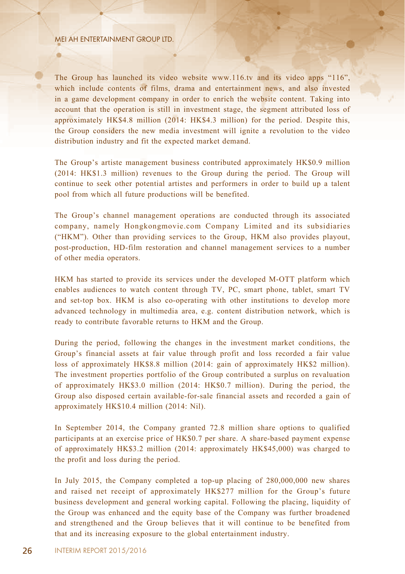The Group has launched its video website www.116.tv and its video apps "116", which include contents of films, drama and entertainment news, and also invested in a game development company in order to enrich the website content. Taking into account that the operation is still in investment stage, the segment attributed loss of approximately HK\$4.8 million (2014: HK\$4.3 million) for the period. Despite this, the Group considers the new media investment will ignite a revolution to the video distribution industry and fit the expected market demand.

The Group's artiste management business contributed approximately HK\$0.9 million (2014: HK\$1.3 million) revenues to the Group during the period. The Group will continue to seek other potential artistes and performers in order to build up a talent pool from which all future productions will be benefited.

The Group's channel management operations are conducted through its associated company, namely Hongkongmovie.com Company Limited and its subsidiaries ("HKM"). Other than providing services to the Group, HKM also provides playout, post-production, HD-film restoration and channel management services to a number of other media operators.

HKM has started to provide its services under the developed M-OTT platform which enables audiences to watch content through TV, PC, smart phone, tablet, smart TV and set-top box. HKM is also co-operating with other institutions to develop more advanced technology in multimedia area, e.g. content distribution network, which is ready to contribute favorable returns to HKM and the Group.

During the period, following the changes in the investment market conditions, the Group's financial assets at fair value through profit and loss recorded a fair value loss of approximately HK\$8.8 million (2014: gain of approximately HK\$2 million). The investment properties portfolio of the Group contributed a surplus on revaluation of approximately HK\$3.0 million (2014: HK\$0.7 million). During the period, the Group also disposed certain available-for-sale financial assets and recorded a gain of approximately HK\$10.4 million (2014: Nil).

In September 2014, the Company granted 72.8 million share options to qualified participants at an exercise price of HK\$0.7 per share. A share-based payment expense of approximately HK\$3.2 million (2014: approximately HK\$45,000) was charged to the profit and loss during the period.

In July 2015, the Company completed a top-up placing of 280,000,000 new shares and raised net receipt of approximately HK\$277 million for the Group's future business development and general working capital. Following the placing, liquidity of the Group was enhanced and the equity base of the Company was further broadened and strengthened and the Group believes that it will continue to be benefited from that and its increasing exposure to the global entertainment industry.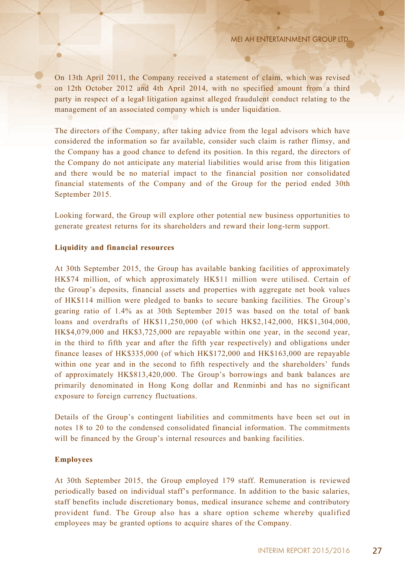On 13th April 2011, the Company received a statement of claim, which was revised on 12th October 2012 and 4th April 2014, with no specified amount from a third party in respect of a legal litigation against alleged fraudulent conduct relating to the management of an associated company which is under liquidation.

The directors of the Company, after taking advice from the legal advisors which have considered the information so far available, consider such claim is rather flimsy, and the Company has a good chance to defend its position. In this regard, the directors of the Company do not anticipate any material liabilities would arise from this litigation and there would be no material impact to the financial position nor consolidated financial statements of the Company and of the Group for the period ended 30th September 2015.

Looking forward, the Group will explore other potential new business opportunities to generate greatest returns for its shareholders and reward their long-term support.

### **Liquidity and financial resources**

At 30th September 2015, the Group has available banking facilities of approximately HK\$74 million, of which approximately HK\$11 million were utilised. Certain of the Group's deposits, financial assets and properties with aggregate net book values of HK\$114 million were pledged to banks to secure banking facilities. The Group's gearing ratio of 1.4% as at 30th September 2015 was based on the total of bank loans and overdrafts of HK\$11,250,000 (of which HK\$2,142,000, HK\$1,304,000, HK\$4,079,000 and HK\$3,725,000 are repayable within one year, in the second year, in the third to fifth year and after the fifth year respectively) and obligations under finance leases of HK\$335,000 (of which HK\$172,000 and HK\$163,000 are repayable within one year and in the second to fifth respectively and the shareholders' funds of approximately HK\$813,420,000. The Group's borrowings and bank balances are primarily denominated in Hong Kong dollar and Renminbi and has no significant exposure to foreign currency fluctuations.

Details of the Group's contingent liabilities and commitments have been set out in notes 18 to 20 to the condensed consolidated financial information. The commitments will be financed by the Group's internal resources and banking facilities.

### **Employees**

At 30th September 2015, the Group employed 179 staff. Remuneration is reviewed periodically based on individual staff's performance. In addition to the basic salaries, staff benefits include discretionary bonus, medical insurance scheme and contributory provident fund. The Group also has a share option scheme whereby qualified employees may be granted options to acquire shares of the Company.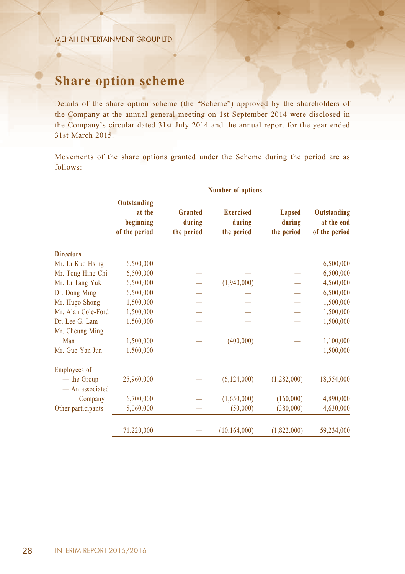a

# **Share option scheme**

Details of the share option scheme (the "Scheme") approved by the shareholders of the Company at the annual general meeting on 1st September 2014 were disclosed in the Company's circular dated 31st July 2014 and the annual report for the year ended 31st March 2015.

Movements of the share options granted under the Scheme during the period are as follows:

|                                | <b>Number of options</b>                            |                                        |                                          |                                       |                                            |
|--------------------------------|-----------------------------------------------------|----------------------------------------|------------------------------------------|---------------------------------------|--------------------------------------------|
|                                | Outstanding<br>at the<br>beginning<br>of the period | <b>Granted</b><br>during<br>the period | <b>Exercised</b><br>during<br>the period | <b>Lapsed</b><br>during<br>the period | Outstanding<br>at the end<br>of the period |
| <b>Directors</b>               |                                                     |                                        |                                          |                                       |                                            |
| Mr. Li Kuo Hsing               | 6,500,000                                           |                                        |                                          |                                       | 6,500,000                                  |
| Mr. Tong Hing Chi              | 6,500,000                                           |                                        |                                          |                                       | 6,500,000                                  |
| Mr. Li Tang Yuk                | 6,500,000                                           |                                        | (1,940,000)                              |                                       | 4,560,000                                  |
| Dr. Dong Ming                  | 6,500,000                                           |                                        |                                          |                                       | 6,500,000                                  |
| Mr. Hugo Shong                 | 1,500,000                                           |                                        |                                          |                                       | 1,500,000                                  |
| Mr. Alan Cole-Ford             | 1,500,000                                           |                                        |                                          |                                       | 1,500,000                                  |
| Dr. Lee G. Lam                 | 1,500,000                                           |                                        |                                          |                                       | 1,500,000                                  |
| Mr. Cheung Ming<br>Man         | 1,500,000                                           |                                        | (400,000)                                |                                       | 1,100,000                                  |
| Mr. Guo Yan Jun                | 1,500,000                                           |                                        |                                          |                                       | 1,500,000                                  |
| Employees of                   |                                                     |                                        |                                          |                                       |                                            |
| — the Group<br>- An associated | 25,960,000                                          |                                        | (6, 124, 000)                            | (1,282,000)                           | 18,554,000                                 |
| Company                        | 6,700,000                                           |                                        | (1,650,000)                              | (160,000)                             | 4,890,000                                  |
| Other participants             | 5,060,000                                           |                                        | (50,000)                                 | (380,000)                             | 4,630,000                                  |
|                                | 71,220,000                                          |                                        | (10, 164, 000)                           | (1,822,000)                           | 59,234,000                                 |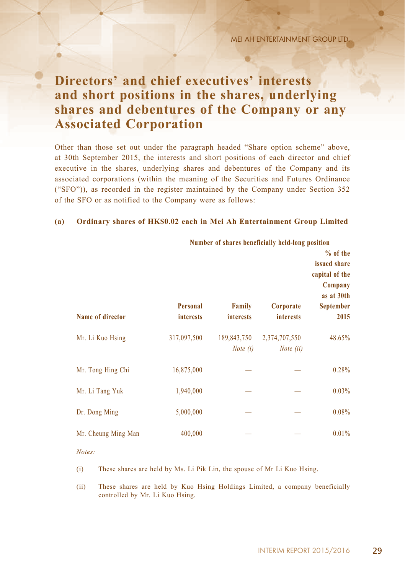# **Directors' and chief executives' interests and short positions in the shares, underlying shares and debentures of the Company or any Associated Corporation**

Other than those set out under the paragraph headed "Share option scheme" above, at 30th September 2015, the interests and short positions of each director and chief executive in the shares, underlying shares and debentures of the Company and its associated corporations (within the meaning of the Securities and Futures Ordinance ("SFO")), as recorded in the register maintained by the Company under Section 352 of the SFO or as notified to the Company were as follows:

### **(a) Ordinary shares of HK\$0.02 each in Mei Ah Entertainment Group Limited**

|                     | Number of shares beneficially held-long position |                                   |                                     | % of the<br>issued share<br>capital of the |
|---------------------|--------------------------------------------------|-----------------------------------|-------------------------------------|--------------------------------------------|
| Name of director    | <b>Personal</b><br><i>interests</i>              | <b>Family</b><br><b>interests</b> | Corporate<br><b>interests</b>       | Company<br>as at 30th<br>September<br>2015 |
| Mr. Li Kuo Hsing    | 317,097,500                                      | 189,843,750<br>Note $(i)$         | 2,374,707,550<br><i>Note</i> $(ii)$ | 48.65%                                     |
| Mr. Tong Hing Chi   | 16,875,000                                       |                                   |                                     | 0.28%                                      |
| Mr. Li Tang Yuk     | 1,940,000                                        |                                   |                                     | 0.03%                                      |
| Dr. Dong Ming       | 5,000,000                                        |                                   |                                     | 0.08%                                      |
| Mr. Cheung Ming Man | 400,000                                          |                                   |                                     | 0.01%                                      |

*Notes:*

(i) These shares are held by Ms. Li Pik Lin, the spouse of Mr Li Kuo Hsing.

(ii) These shares are held by Kuo Hsing Holdings Limited, a company beneficially controlled by Mr. Li Kuo Hsing.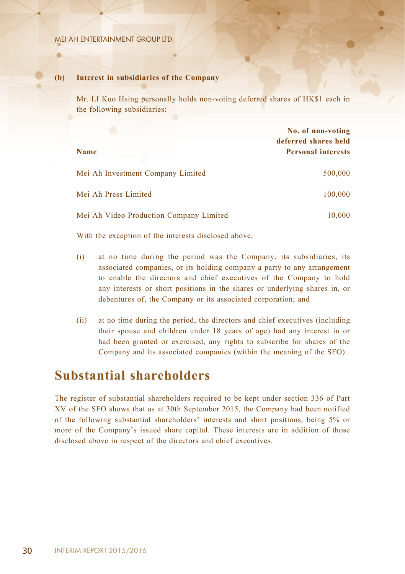### **(b) Interest in subsidiaries of the Company**

Mr. LI Kuo Hsing personally holds non-voting deferred shares of HK\$1 each in the following subsidiaries:

|                                         | No. of non-voting<br>deferred shares held |
|-----------------------------------------|-------------------------------------------|
| <b>Name</b>                             | <b>Personal interests</b>                 |
| Mei Ah Investment Company Limited       | 500,000                                   |
| Mei Ah Press Limited                    | 100,000                                   |
| Mei Ah Video Production Company Limited | 10,000                                    |

With the exception of the interests disclosed above,

- (i) at no time during the period was the Company, its subsidiaries, its associated companies, or its holding company a party to any arrangement to enable the directors and chief executives of the Company to hold any interests or short positions in the shares or underlying shares in, or debentures of, the Company or its associated corporation; and
- (ii) at no time during the period, the directors and chief executives (including their spouse and children under 18 years of age) had any interest in or had been granted or exercised, any rights to subscribe for shares of the Company and its associated companies (within the meaning of the SFO).

# **Substantial shareholders**

The register of substantial shareholders required to be kept under section 336 of Part XV of the SFO shows that as at 30th September 2015, the Company had been notified of the following substantial shareholders' interests and short positions, being 5% or more of the Company's issued share capital. These interests are in addition of those disclosed above in respect of the directors and chief executives.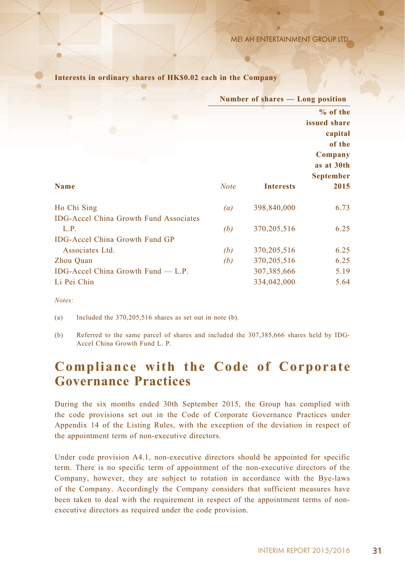|                                               | Number of shares — Long position |                  |                                           |
|-----------------------------------------------|----------------------------------|------------------|-------------------------------------------|
|                                               |                                  |                  | $%$ of the                                |
|                                               |                                  |                  | issued share                              |
|                                               |                                  |                  | capital                                   |
|                                               |                                  |                  | of the                                    |
|                                               |                                  |                  | Company<br>as at 30th<br><b>September</b> |
| <b>Name</b>                                   | <b>Note</b>                      | <b>Interests</b> | 2015                                      |
| Ho Chi Sing                                   | (a)                              | 398,840,000      | 6.73                                      |
| <b>IDG-Accel China Growth Fund Associates</b> |                                  |                  |                                           |
| L.P.                                          | (b)                              | 370, 205, 516    | 6.25                                      |
| <b>IDG-Accel China Growth Fund GP</b>         |                                  |                  |                                           |
| Associates Ltd.                               | (b)                              | 370, 205, 516    | 6.25                                      |
| Zhou Quan                                     | (b)                              | 370,205,516      | 6.25                                      |
| IDG-Accel China Growth Fund $-$ L.P.          |                                  | 307,385,666      | 5.19                                      |
| Li Pei Chin                                   |                                  | 334,042,000      | 5.64                                      |

**Interests in ordinary shares of HK\$0.02 each in the Company**

*Notes:*

(a) Included the 370,205,516 shares as set out in note (b).

(b) Referred to the same parcel of shares and included the 307,385,666 shares held by IDG-Accel China Growth Fund L. P.

# **Compliance with the Code of Corporate Governance Practices**

During the six months ended 30th September 2015, the Group has complied with the code provisions set out in the Code of Corporate Governance Practices under Appendix 14 of the Listing Rules, with the exception of the deviation in respect of the appointment term of non-executive directors.

Under code provision A4.1, non-executive directors should be appointed for specific term. There is no specific term of appointment of the non-executive directors of the Company, however, they are subject to rotation in accordance with the Bye-laws of the Company. Accordingly the Company considers that sufficient measures have been taken to deal with the requirement in respect of the appointment terms of nonexecutive directors as required under the code provision.